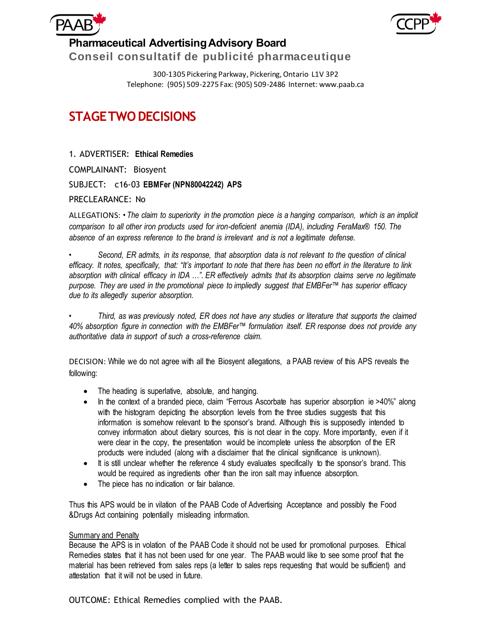



300-1305 Pickering Parkway, Pickering, Ontario L1V 3P2

## Telephone: (905) 509-2275 Fax: (905) 509-2486 Internet: www.paab.ca

## **STAGE TWO DECISIONS**

1. ADVERTISER: **Ethical Remedies** COMPLAINANT: Biosyent SUBJECT: c16-03 **EBMFer (NPN80042242) APS** PRECLEARANCE: No

ALLEGATIONS: *• The claim to superiority in the promotion piece is a hanging comparison, which is an implicit comparison to all other iron products used for iron-deficient anemia (IDA), including FeraMax® 150. The absence of an express reference to the brand is irrelevant and is not a legitimate defense.*

*• Second, ER admits, in its response, that absorption data is not relevant to the question of clinical efficacy. It notes, specifically, that: "It's important to note that there has been no effort in the literature to link absorption with clinical efficacy in IDA …". ER effectively admits that its absorption claims serve no legitimate purpose. They are used in the promotional piece to impliedly suggest that EMBFer™ has superior efficacy due to its allegedly superior absorption.*

*• Third, as was previously noted, ER does not have any studies or literature that supports the claimed 40% absorption figure in connection with the EMBFer™ formulation itself. ER response does not provide any authoritative data in support of such a cross-reference claim.*

DECISION: While we do not agree with all the Biosyent allegations, a PAAB review of this APS reveals the following:

- The heading is superlative, absolute, and hanging.
- In the context of a branded piece, claim "Ferrous Ascorbate has superior absorption ie >40%" along with the histogram depicting the absorption levels from the three studies suggests that this information is somehow relevant to the sponsor's brand. Although this is supposedly intended to convey information about dietary sources, this is not clear in the copy. More importantly, even if it were clear in the copy, the presentation would be incomplete unless the absorption of the ER products were included (along with a disclaimer that the clinical significance is unknown).
- It is still unclear whether the reference 4 study evaluates specifically to the sponsor's brand. This would be required as ingredients other than the iron salt may influence absorption.
- The piece has no indication or fair balance.

Thus this APS would be in vilation of the PAAB Code of Advertising Acceptance and possibly the Food &Drugs Act containing potentially misleading information.

## Summary and Penalty

Because the APS is in volation of the PAAB Code it should not be used for promotional purposes. Ethical Remedies states that it has not been used for one year. The PAAB would like to see some proof that the material has been retrieved from sales reps (a letter to sales reps requesting that would be sufficient) and attestation that it will not be used in future.

OUTCOME: Ethical Remedies complied with the PAAB.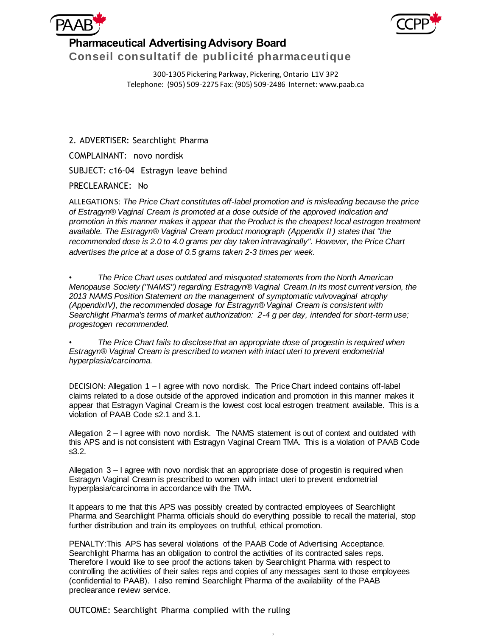

300-1305 Pickering Parkway, Pickering, Ontario L1V 3P2

Telephone: (905) 509-2275 Fax: (905) 509-2486 Internet: www.paab.ca

2. ADVERTISER: Searchlight Pharma COMPLAINANT: novo nordisk SUBJECT: c16-04 Estragyn leave behind

PRECLEARANCE: No

ALLEGATIONS: *The Price Chart constitutes off-label promotion and is misleading because the price of Estragyn® Vaginal Cream is promoted at a dose outside of the approved indication and promotion in this manner makes it appear that the Product is the cheapest local estrogen treatment available. The Estragyn® Vaginal Cream product monograph (Appendix II ) states that "the recommended dose is 2.0 to 4.0 grams per day taken intravaginally". However, the Price Chart advertises the price at a dose of 0.5 grams taken 2-3 times per week.*

*• The Price Chart uses outdated and misquoted statements from the North American Menopause Society ("NAMS") regarding Estragyn® Vaginal Cream.In its most current version, the 2013 NAMS Position Statement on the management of symptomatic vulvovaginal atrophy (AppendixIV), the recommended dosage for Estragyn® Vaginal Cream is consistent with Searchlight Pharma's terms of market authorization: 2-4 g per day, intended for short-term use; progestogen recommended.*

*• The Price Chart fails to disclose that an appropriate dose of progestin is required when Estragyn® Vaginal Cream is prescribed to women with intact uteri to prevent endometrial hyperplasia/carcinoma.*

DECISION: Allegation 1 – I agree with novo nordisk. The Price Chart indeed contains off-label claims related to a dose outside of the approved indication and promotion in this manner makes it appear that Estragyn Vaginal Cream is the lowest cost local estrogen treatment available. This is a violation of PAAB Code s2.1 and 3.1.

Allegation 2 – I agree with novo nordisk. The NAMS statement is out of context and outdated with this APS and is not consistent with Estragyn Vaginal Cream TMA. This is a violation of PAAB Code s3.2.

Allegation 3 – I agree with novo nordisk that an appropriate dose of progestin is required when Estragyn Vaginal Cream is prescribed to women with intact uteri to prevent endometrial hyperplasia/carcinoma in accordance with the TMA.

It appears to me that this APS was possibly created by contracted employees of Searchlight Pharma and Searchlight Pharma officials should do everything possible to recall the material, stop further distribution and train its employees on truthful, ethical promotion.

PENALTY:This APS has several violations of the PAAB Code of Advertising Acceptance. Searchlight Pharma has an obligation to control the activities of its contracted sales reps. Therefore I would like to see proof the actions taken by Searchlight Pharma with respect to controlling the activities of their sales reps and copies of any messages sent to those employees (confidential to PAAB). I also remind Searchlight Pharma of the availability of the PAAB preclearance review service.

)

OUTCOME: Searchlight Pharma complied with the ruling